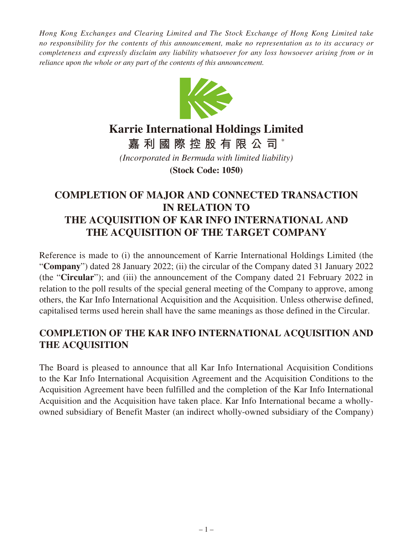*Hong Kong Exchanges and Clearing Limited and The Stock Exchange of Hong Kong Limited take no responsibility for the contents of this announcement, make no representation as to its accuracy or completeness and expressly disclaim any liability whatsoever for any loss howsoever arising from or in reliance upon the whole or any part of the contents of this announcement.*



## **Karrie International Holdings Limited**

**嘉利國際控股有限公司** \*

*(Incorporated in Bermuda with limited liability)*

**(Stock Code: 1050)**

## **COMPLETION OF MAJOR AND CONNECTED TRANSACTION IN RELATION TO THE ACQUISITION OF KAR INFO INTERNATIONAL AND THE ACQUISITION OF THE TARGET COMPANY**

Reference is made to (i) the announcement of Karrie International Holdings Limited (the "**Company**") dated 28 January 2022; (ii) the circular of the Company dated 31 January 2022 (the "**Circular**"); and (iii) the announcement of the Company dated 21 February 2022 in relation to the poll results of the special general meeting of the Company to approve, among others, the Kar Info International Acquisition and the Acquisition. Unless otherwise defined, capitalised terms used herein shall have the same meanings as those defined in the Circular.

## **COMPLETION OF THE KAR INFO INTERNATIONAL ACQUISITION AND THE ACQUISITION**

The Board is pleased to announce that all Kar Info International Acquisition Conditions to the Kar Info International Acquisition Agreement and the Acquisition Conditions to the Acquisition Agreement have been fulfilled and the completion of the Kar Info International Acquisition and the Acquisition have taken place. Kar Info International became a whollyowned subsidiary of Benefit Master (an indirect wholly-owned subsidiary of the Company)